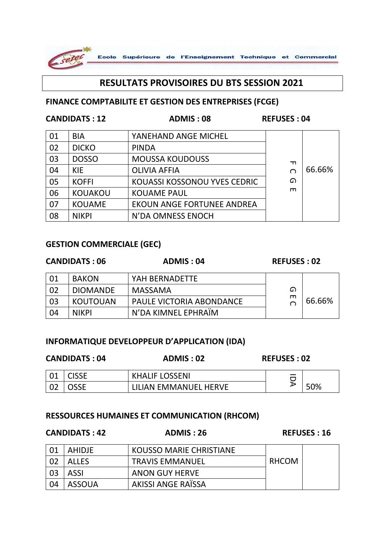

# **RESULTATS PROVISOIRES DU BTS SESSION 2021**

### **FINANCE COMPTABILITE ET GESTION DES ENTREPRISES (FCGE)**

## **CANDIDATS : 12 ADMIS : 08 REFUSES : 04**

| 01 | <b>BIA</b>     | YANEHAND ANGE MICHEL              |   |        |
|----|----------------|-----------------------------------|---|--------|
| 02 | <b>DICKO</b>   | <b>PINDA</b>                      |   |        |
| 03 | <b>DOSSO</b>   | <b>MOUSSA KOUDOUSS</b>            | ᆩ |        |
| 04 | <b>KIE</b>     | <b>OLIVIA AFFIA</b>               | ◠ | 66.66% |
| 05 | <b>KOFFI</b>   | KOUASSI KOSSONOU YVES CEDRIC      | ഹ |        |
| 06 | <b>KOUAKOU</b> | <b>KOUAME PAUL</b>                | m |        |
| 07 | <b>KOUAME</b>  | <b>EKOUN ANGE FORTUNEE ANDREA</b> |   |        |
| 08 | <b>NIKPI</b>   | N'DA OMNESS ENOCH                 |   |        |

## **GESTION COMMERCIALE (GEC)**

#### **CANDIDATS : 06 ADMIS : 04 REFUSES : 02** 01 BAKON | YAH BERNADETTE G E C 66.66% 02 DIOMANDE MASSAMA 03 KOUTOUAN PAULE VICTORIA ABONDANCE 04 | NIKPI | N'DA KIMNEL EPHRAÏM

## **INFORMATIQUE DEVELOPPEUR D'APPLICATION (IDA)**

| <b>CANDIDATS: 04</b> |       | ADMIS: 02             | <b>REFUSES: 02</b> |     |
|----------------------|-------|-----------------------|--------------------|-----|
|                      | `ISSE | <b>KHALIF LOSSENI</b> |                    |     |
|                      |       | LILIAN EMMANUEL HERVE |                    | 50% |

## **RESSOURCES HUMAINES ET COMMUNICATION (RHCOM)**

## **CANDIDATS : 42 ADMIS : 26 REFUSES : 16**

| 01  | AHIDJE       | KOUSSO MARIE CHRISTIANE |       |  |
|-----|--------------|-------------------------|-------|--|
| -02 | <b>ALLES</b> | <b>TRAVIS EMMANUEL</b>  | RHCOM |  |
| 03  | ASSI         | ANON GUY HERVE          |       |  |
| 04  | ASSOUA       | AKISSI ANGE RAÏSSA      |       |  |